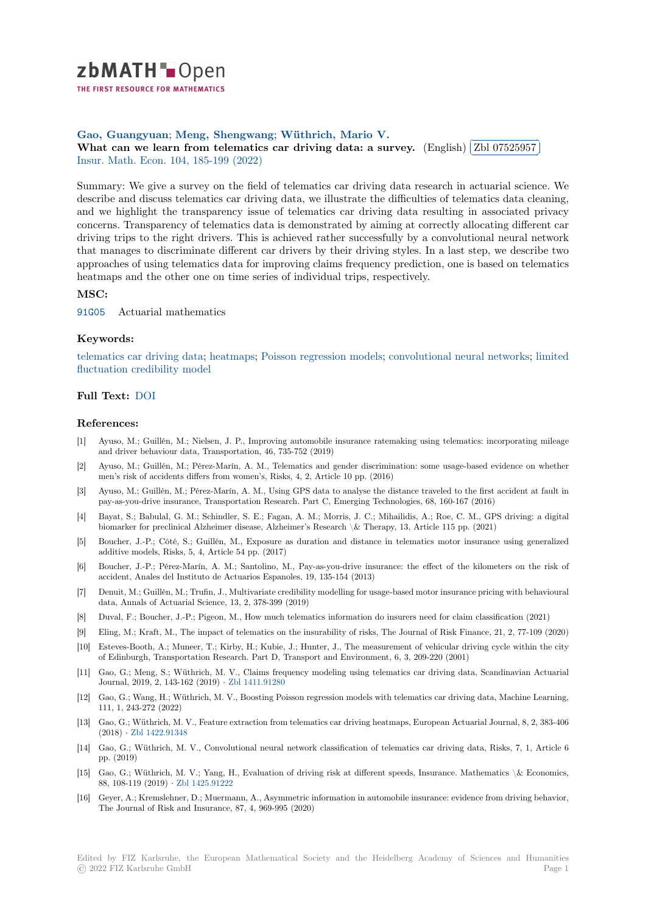

THE FIRST RESOURCE FOR MATHEMATICS

## **Gao, Guangyuan**; **Meng, Shengwang**; **Wüthrich, Mario V.**

Sao, Guangyuan; ivieng, Snengwang; wuthrich, Mario v.<br>[W](https://zbmath.org/)hat can we learn from telematics car driving data: a survey. (English) ✂ Zbl 07525957 l. ✁ Insur. Math. Econ. 104, 185-199 (2022)

[Summary: We give](https://zbmath.org/authors/?q=ai:gao.guangyuan)a [survey on the field o](https://zbmath.org/authors/?q=ai:meng.shengwang)f [telematics car driving](https://zbmath.org/authors/?q=ai:wuthrich.mario-valentin) data research in actuarial science. We [describe and discuss telematics car driving data, we illustrate the difficu](https://zbmath.org/07525957)lties of tele[matics data clea](https://zbmath.org/07525957)ning, [and we highlight t](https://zbmath.org/journals/?q=se:906)[he transparency issu](https://zbmath.org/?q=in:481744)e of telematics car driving data resulting in associated privacy concerns. Transparency of telematics data is demonstrated by aiming at correctly allocating different car driving trips to the right drivers. This is achieved rather successfully by a convolutional neural network that manages to discriminate different car drivers by their driving styles. In a last step, we describe two approaches of using telematics data for improving claims frequency prediction, one is based on telematics heatmaps and the other one on time series of individual trips, respectively.

# **MSC:**

91G05 Actuarial mathematics

#### **Keywords:**

telematics car driving data; heatmaps; Poisson regression models; convolutional neural networks; limited [fluctua](https://zbmath.org/classification/?q=cc:91G05)tion credibility model

### **Full Text:** DOI

#### **[References:](https://zbmath.org/?q=ut:limited+fluctuation+credibility+model)**

- [1] Ayuso, M.; Guillén, M.; Nielsen, J. P., Improving automobile insurance ratemaking using telematics: incorporating mileage and drive[r beha](https://dx.doi.org/10.1016/j.insmatheco.2022.02.004)viour data, Transportation, 46, 735-752 (2019)
- [2] Ayuso, M.; Guillén, M.; Pérez-Marín, A. M., Telematics and gender discrimination: some usage-based evidence on whether men's risk of accidents differs from women's, Risks, 4, 2, Article 10 pp. (2016)
- [3] Ayuso, M.; Guillén, M.; Pérez-Marín, A. M., Using GPS data to analyse the distance traveled to the first accident at fault in pay-as-you-drive insurance, Transportation Research. Part C, Emerging Technologies, 68, 160-167 (2016)
- [4] Bayat, S.; Babulal, G. M.; Schindler, S. E.; Fagan, A. M.; Morris, J. C.; Mihailidis, A.; Roe, C. M., GPS driving: a digital biomarker for preclinical Alzheimer disease, Alzheimer's Research \& Therapy, 13, Article 115 pp. (2021)
- [5] Boucher, J.-P.; Côté, S.; Guillén, M., Exposure as duration and distance in telematics motor insurance using generalized additive models, Risks, 5, 4, Article 54 pp. (2017)
- [6] Boucher, J.-P.; Pérez-Marín, A. M.; Santolino, M., Pay-as-you-drive insurance: the effect of the kilometers on the risk of accident, Anales del Instituto de Actuarios Espanoles, 19, 135-154 (2013)
- [7] Denuit, M.; Guillén, M.; Trufin, J., Multivariate credibility modelling for usage-based motor insurance pricing with behavioural data, Annals of Actuarial Science, 13, 2, 378-399 (2019)
- [8] Duval, F.; Boucher, J.-P.; Pigeon, M., How much telematics information do insurers need for claim classification (2021)
- [9] Eling, M.; Kraft, M., The impact of telematics on the insurability of risks, The Journal of Risk Finance, 21, 2, 77-109 (2020)
- [10] Esteves-Booth, A.; Muneer, T.; Kirby, H.; Kubie, J.; Hunter, J., The measurement of vehicular driving cycle within the city of Edinburgh, Transportation Research. Part D, Transport and Environment, 6, 3, 209-220 (2001)
- [11] Gao, G.; Meng, S.; Wüthrich, M. V., Claims frequency modeling using telematics car driving data, Scandinavian Actuarial Journal, 2019, 2, 143-162 (2019) *·* Zbl 1411.91280
- [12] Gao, G.; Wang, H.; Wüthrich, M. V., Boosting Poisson regression models with telematics car driving data, Machine Learning, 111, 1, 243-272 (2022)
- [13] Gao, G.; Wüthrich, M. V., Feature extraction from telematics car driving heatmaps, European Actuarial Journal, 8, 2, 383-406 (2018) *·* Zbl 1422.91348
- [14] Gao, G.; Wüthrich, M. V., Convolutional neural network classification of telematics car driving data, Risks, 7, 1, Article 6 pp. (2019)
- [15] Gao, G.; Wüthrich, M. V.; Yang, H., Evaluation of driving risk at different speeds, Insurance. Mathematics \& Economics, 88, 108-[119 \(2019\)](https://zbmath.org/1422.91348) *·* Zbl 1425.91222
- [16] Geyer, A.; Kremslehner, D.; Muermann, A., Asymmetric information in automobile insurance: evidence from driving behavior, The Journal of Risk and Insurance, 87, 4, 969-995 (2020)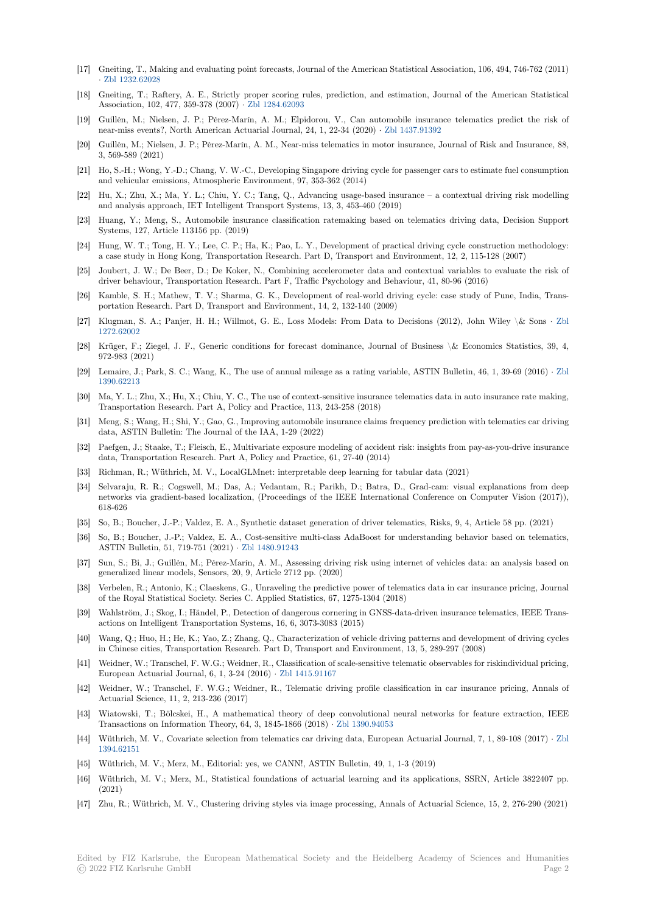- [17] Gneiting, T., Making and evaluating point forecasts, Journal of the American Statistical Association, 106, 494, 746-762 (2011) *·* Zbl 1232.62028
- [18] Gneiting, T.; Raftery, A. E., Strictly proper scoring rules, prediction, and estimation, Journal of the American Statistical Association, 102, 477, 359-378 (2007) *·* Zbl 1284.62093
- [19] Guillén, M.; Nielsen, J. P.; Pérez-Marín, A. M.; Elpidorou, V., Can automobile insurance telematics predict the risk of n[ear-miss events?](https://zbmath.org/1232.62028), North American Actuarial Journal, 24, 1, 22-34 (2020) *·* Zbl 1437.91392
- [20] Guillén, M.; Nielsen, J. P.; Pérez-Marín, A. M., Near-miss telematics in motor insurance, Journal of Risk and Insurance, 88, 3, 569-589 (2021)
- [21] Ho, S.-H.; Wong, Y.-D.; Chang, V. W.-C., Developing Singapore driving cycle for passenger cars to estimate fuel consumption and vehicular emissions, Atmospheric Environment, 97, 353-362 (2014)
- [22] Hu, X.; Zhu, X.; Ma, Y. L.; Chiu, Y. C.; Tang, Q., Advancing usage-based insurance a contextual driving risk modelling and analysis approach, IET Intelligent Transport Systems, 13, 3, 453-460 (2019)
- [23] Huang, Y.; Meng, S., Automobile insurance classification ratemaking based on telematics driving data, Decision Support Systems, 127, Article 113156 pp. (2019)
- [24] Hung, W. T.; Tong, H. Y.; Lee, C. P.; Ha, K.; Pao, L. Y., Development of practical driving cycle construction methodology: a case study in Hong Kong, Transportation Research. Part D, Transport and Environment, 12, 2, 115-128 (2007)
- [25] Joubert, J. W.; De Beer, D.; De Koker, N., Combining accelerometer data and contextual variables to evaluate the risk of driver behaviour, Transportation Research. Part F, Traffic Psychology and Behaviour, 41, 80-96 (2016)
- [26] Kamble, S. H.; Mathew, T. V.; Sharma, G. K., Development of real-world driving cycle: case study of Pune, India, Transportation Research. Part D, Transport and Environment, 14, 2, 132-140 (2009)
- [27] Klugman, S. A.; Panjer, H. H.; Willmot, G. E., Loss Models: From Data to Decisions (2012), John Wiley \& Sons *·* Zbl 1272.62002
- [28] Krüger, F.; Ziegel, J. F., Generic conditions for forecast dominance, Journal of Business \& Economics Statistics, 39, 4, 972-983 (2021)
- [29] Lemaire, J.; Park, S. C.; Wang, K., The use of annual mileage as a rating variable, ASTIN Bulletin, 46, 1, 39-69 (2016) *·* [Zbl](https://zbmath.org/1272.62002) [1390.62213](https://zbmath.org/1272.62002)
- [30] Ma, Y. L.; Zhu, X.; Hu, X.; Chiu, Y. C., The use of context-sensitive insurance telematics data in auto insurance rate making, Transportation Research. Part A, Policy and Practice, 113, 243-258 (2018)
- [31] Meng, S.; Wang, H.; Shi, Y.; Gao, G., Improving automobile insurance claims frequency prediction with telematics car dri[ving](https://zbmath.org/1390.62213) [data, ASTI](https://zbmath.org/1390.62213)N Bulletin: The Journal of the IAA, 1-29 (2022)
- [32] Paefgen, J.; Staake, T.; Fleisch, E., Multivariate exposure modeling of accident risk: insights from pay-as-you-drive insurance data, Transportation Research. Part A, Policy and Practice, 61, 27-40 (2014)
- [33] Richman, R.; Wüthrich, M. V., LocalGLMnet: interpretable deep learning for tabular data (2021)
- [34] Selvaraju, R. R.; Cogswell, M.; Das, A.; Vedantam, R.; Parikh, D.; Batra, D., Grad-cam: visual explanations from deep networks via gradient-based localization, (Proceedings of the IEEE International Conference on Computer Vision (2017)), 618-626
- [35] So, B.; Boucher, J.-P.; Valdez, E. A., Synthetic dataset generation of driver telematics, Risks, 9, 4, Article 58 pp. (2021)
- [36] So, B.; Boucher, J.-P.; Valdez, E. A., Cost-sensitive multi-class AdaBoost for understanding behavior based on telematics, ASTIN Bulletin, 51, 719-751 (2021) *·* Zbl 1480.91243
- [37] Sun, S.; Bi, J.; Guillén, M.; Pérez-Marín, A. M., Assessing driving risk using internet of vehicles data: an analysis based on generalized linear models, Sensors, 20, 9, Article 2712 pp. (2020)
- [38] Verbelen, R.; Antonio, K.; Claeskens, G., Unraveling the predictive power of telematics data in car insurance pricing, Journal of the Royal Statistical Society. Series [C. Applied Sta](https://zbmath.org/1480.91243)tistics, 67, 1275-1304 (2018)
- [39] Wahlström, J.; Skog, I.; Händel, P., Detection of dangerous cornering in GNSS-data-driven insurance telematics, IEEE Transactions on Intelligent Transportation Systems, 16, 6, 3073-3083 (2015)
- [40] Wang, Q.; Huo, H.; He, K.; Yao, Z.; Zhang, Q., Characterization of vehicle driving patterns and development of driving cycles in Chinese cities, Transportation Research. Part D, Transport and Environment, 13, 5, 289-297 (2008)
- [41] Weidner, W.; Transchel, F. W.G.; Weidner, R., Classification of scale-sensitive telematic observables for riskindividual pricing, European Actuarial Journal, 6, 1, 3-24 (2016) *·* Zbl 1415.91167
- [42] Weidner, W.; Transchel, F. W.G.; Weidner, R., Telematic driving profile classification in car insurance pricing, Annals of Actuarial Science, 11, 2, 213-236 (2017)
- [43] Wiatowski, T.; Bölcskei, H., A mathematical theory of deep convolutional neural networks for feature extraction, IEEE Transactions on Information Theory, 64, 3, 184[5-1866 \(2018\)](https://zbmath.org/1415.91167) *·* Zbl 1390.94053
- [44] Wüthrich, M. V., Covariate selection from telematics car driving data, European Actuarial Journal, 7, 1, 89-108 (2017) *·* Zbl 1394.62151
- [45] Wüthrich, M. V.; Merz, M., Editorial: yes, we CANN!, ASTIN Bulletin, 49, 1, 1-3 (2019)
- [46] Wüthrich, M. V.; Merz, M., Statistical foundations of actuar[ial learning and](https://zbmath.org/1390.94053) its applications, SSRN, Article 3822407 pp. (2021)
- [47] [Zhu, R.; W](https://zbmath.org/1394.62151)üthrich, M. V., Clustering driving styles via image processing, Annals of Actuarial Science, 15, 2, 276-290 (2021)